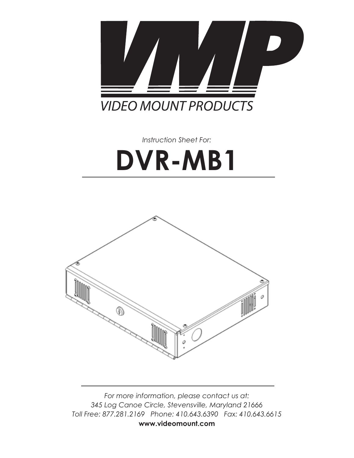

*Instruction Sheet For:*

# **DVR-MB1**



*For more information, please contact us at: 345 Log Canoe Circle, Stevensville, Maryland 21666 Toll Free: 877.281.2169 Phone: 410.643.6390 Fax: 410.643.6615* **www.videomount.com**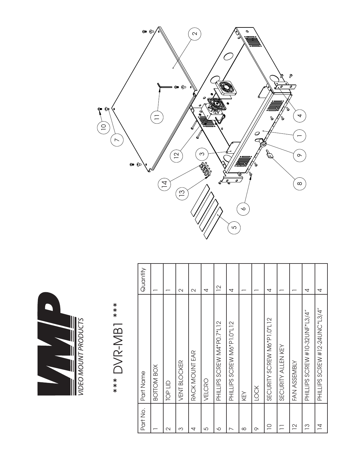

|           | 5          |                |              |                   |        |                            |                            |          |      |                            |                    |                |                                |                                |  |
|-----------|------------|----------------|--------------|-------------------|--------|----------------------------|----------------------------|----------|------|----------------------------|--------------------|----------------|--------------------------------|--------------------------------|--|
| Quantity  |            |                | $\sim$       | $\mathbf{\Omega}$ | 4      | $\overline{C}$             | 4                          |          |      | 4                          |                    |                | 4                              | 4                              |  |
| Part Name | BOTTOM BOX | <b>CIT dOL</b> | VENT BLOCKER | RACK MOUNT EAR    | VELCRO | PHILLIPS SCREW M4*P0.7*L12 | PHILLIPS SCREW M6*P1.0*L12 | KEY      | LOCK | SECURITY SCREW M6*P1.0*L12 | SECURITY ALLEN KEY | FAN ASSEMBLY   | PHILLIPS SCREW #10-32UNF*L3/4" | PHILLIPS SCREW #12-24JNC*L3/4" |  |
| Part No.  |            | $\sim$         | ω            | 4                 | 5      | ∘                          |                            | $\infty$ | ᡐ    | $\supseteq$                |                    | $\overline{C}$ | $\frac{3}{2}$                  | $\overline{4}$                 |  |

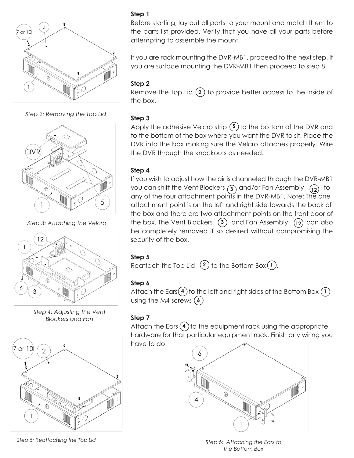

*Step 2: Removing the Top Lid*



*Step 3: Attaching the Velcro*



*Step 4: Adjusting the Vent Blockers and Fan Step 4: Adjusting the Vent* 



*Step 5: Reattaching the Top Lid Step 5: Reattaching the Top Lid*

## **Step 1**

Before starting, lay out all parts to your mount and match them to the parts list provided. Verify that you have all your parts before attempting to assemble the mount.

If you are rack mounting the DVR-MB1, proceed to the next step. If  $\gamma$  you are surface mounting the DVR-MB1 then proceed to step 8. *you are surface mounting the DVR-MB1 then proceed to step 8.*

## **ing to assemble the mounter of the mounted the mounted the mounted the mounted the mounted the mounted the mounted the mounted the mounted the mounted the mounted the mounted the mounted the mounted the mounted the mounte**

Remove the Top Lid  $\Omega$  to provide better access to the inside of the box. box. Remove the Top Lid (#2) to provide better access to the inside of the **2** *If you are rack mounting the DVR-MB1, proceed to the next step. If you are surface mounting the DVR-MB1 then proceed to step 8. If you are rack mounting the DVR-MB1, proceed to the next step. If you are surface mounting the DVR-MB1 then proceed to step 8.*

## **Step 3 Step 2**

 $\frac{1}{\pi}$  and  $\frac{1}{\pi}$  adhesive Velcro strip  $\binom{5}{3}$  to the bottom of the DVR and to the bottom of the box where you want the DVR to sit. Place the DVR into the box making sure the Velcro attaches properly. Wire the DVR through the knockouts as needed. Apply the adhesive velcro strip (3) to the bottom of the DVR and  $A$  additional the adhesive Velcro strip ( $\sim$  to the DVR and to the DVR and to the DVR and to the DVR and to the DVR and to the DVR and to the DVR and to the DVR and to the DVR and to the DVR and to the DVR and to the DV

#### **Step 4 Step 4**  $\delta$ tom  $\Lambda$  $\theta$  both of the box where  $\theta$

If you wish to adjust how the air is channeled through the DVR-MB1 If you wish to adjust how the air is channeled through the DVR-MB1 you can shift the Vent Blockers (3) and/or Fan Assembly  $\begin{pmatrix} 12 \end{pmatrix}$  to any of the four attachment points in the DVR-MB1. Note: The one any of the four attachment points in the DVR-MB1. Note: The one **Step 4** attachment point is on the left and right side towards the back of  $\frac{1}{2}$  the box and there are two attachment points on the front door of the box. The Vent Blockers  $(3)$  and Fan Assembly  $(12)$  can also be completely removed if so desired without compromising the security of the box.  $\frac{1}{2}$  into the box making sure the velocity of the box making sure the DVR  $\mu$ the known the couplet the known as needed.  $\begin{bmatrix} 1 & 0 \\ 0 & 0 \end{bmatrix}$  throughout wish to couplet the  $\begin{bmatrix} 1 & 0 \\ 0 & 0 \end{bmatrix}$ the box completely removed in so desired will look complete

#### **Step 5**  $\mathcal{L}$  removed if so desired with so desired with so desired with security the security of  $\mathcal{L}$

Reattach the Top Lid  $(2)$  to the Bottom Box $(1)$ .

#### **Step 6 Step 6**  $\sum_{k=1}^{\infty}$

 $\frac{1}{2}$  attach the Ears  $\left(\frac{4}{2}\right)$  to the left and right sides of the Bottom Box  $\left(\frac{1}{2}\right)$  $\overline{\text{using the M4 screws (6)}}$  $\mathcal{L}$ 

## **Step 7** and M4 screws .

Attach the Ears (4) to the equipment rack using the appropriate hardware for that particular equipment rack. Finish any wiring you have to do.



*the Bottom Box Step 6: Attaching the Ears to the Bottom Box*